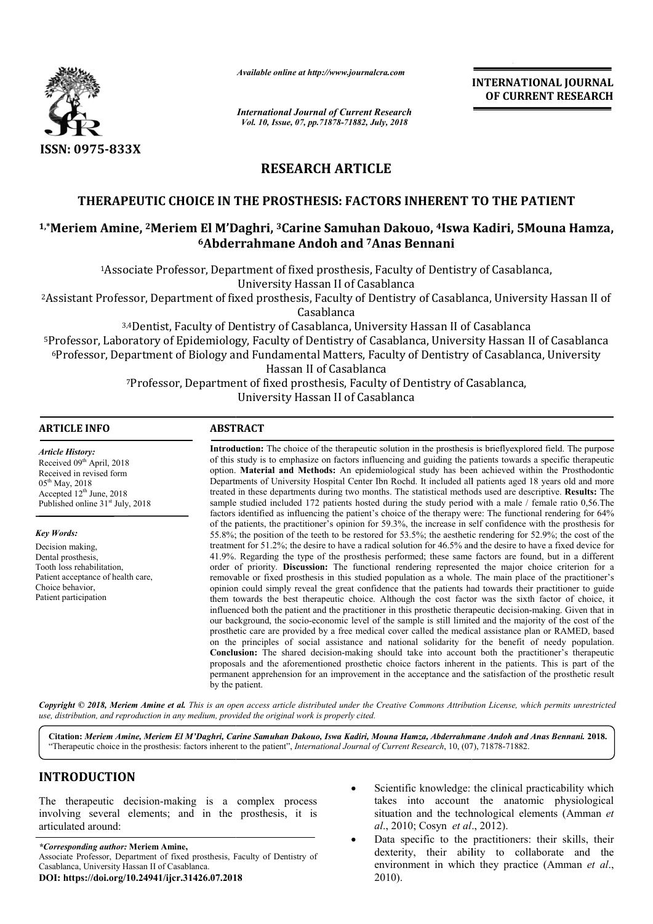

*Available online at http://www.journalcra.com*

*International Journal of Current Research Vol. 10, Issue, 07, pp.71878-71882, July, 2018*

**INTERNATIONAL JOURNAL OF CURRENT RESEARCH**

# **RESEARCH ARTICLE**

## **THERAPEUTIC CHOICE IN THE PROSTHESIS: FACTORS INHERENT TO THE PATIENT**

# THERAPEUTIC CHOICE IN THE PROSTHESIS: FACTORS INHERENT TO THE PATIENT<br><sup>1,\*</sup>Meriem Amine, <sup>2</sup>Meriem El M'Daghri, <sup>3</sup>Carine Samuhan Dakouo, <sup>4</sup>Iswa Kadiri, 5Mouna Hamza, **6Abderrahmane Andoh and Abderrahmane 7Anas Bennani**

1Associate Professor, Department of fixed prosthesis, Faculty of Dentistry of Casablanca, Associate University Hassan II of Casablanca

2Assistant Professor, Department of fixed prosthesis, Faculty of Dentistry of Casablanca, University Hassan II of Assistant Casablanca

3,4Dentist, Faculty of Dentistry of Casablanca, University Hassan II of Casablanca 5Professor, Laboratory of Epidemiology, Faculty of Dentistry of Casablanca, University Hassan II of Casablanca <sup>6</sup>Professor, Department of Biology and Fundamental Matters, Faculty of Dentistry of Casablanca, University 7Professor, Department of fixed prosthesis, Faculty of Dentistry of Casablanca, Professor, University Hassan II of Casablanca <sup>3,4</sup>Dentist, Faculty of Dentistry of Casablanca, University Hassan II of Casablanca<br>Professor, Laboratory of Epidemiology, Faculty of Dentistry of Casablanca, University Hassan II of Casablanc<br><sup>6</sup>Professor, Department of Hassan II of Casablanca <sup>1</sup>Associate Professor, Department of fixed prosthesis, Faculty of Dentistry of Casablanca,<br>
Miversity Hassan II of Casablanca<br>
<sup>3,4</sup>Dentist, Faculty of Dentistry of Casablanca, University Hassan II of<br>
<sup>3,4</sup>Dentist, Facul

#### **ARTICLE INFO ABSTRACT**

*Article History:* Received 09<sup>th</sup> April, 2018 Received in revised form  $05^{th}$  May, 2018 Accepted  $12<sup>th</sup>$  June, 2018 Published online 31<sup>st</sup> July, 2018

*Key Words:*

Decision making, Dental prosthesis, Tooth loss rehabilitation, Patient acceptance of health care, Choice behavior, Patient participation

**Introduction:**  The choice of the therapeutic solution in the prosthesis is brieflyexplored field. The purpose of this study is to emphasize on factors influencing and guiding the patients towards a specific therapeutic option. n. **Material and Methods:** An epidemiological study has been achieved within the Prosthodontic Departments of University Hospital Center Ibn Rochd. It included all patients aged 18 years old and more treated in these departments during two months. The statistical methods used are descriptive. sample studied included 172 patients hosted during the study period with a male / female ratio 0,56.The sample studied included 172 patients hosted during the study period with a male / female ratio 0,56. The factors identified as influencing the patient's choice of the therapy were: The functional rendering for 64% of the patients, the practitioner's opinion for 59.3%, the increase in self confidence with the prosthesis for 55.8%; the position of the teeth to be restored for 53.5%; the aesthetic rendering for 52.9%; the cost of the treatment for 51.2%; the desire to have a radical solution for 46.5% and the desire to have a fixed device for 41.9%. Regarding the type of the prosthesis performed; these same factors are found, but in a different order of priority. **Discussion:** The functional rendering represented th removable or fixed prosthesis in this studied population as a whole. The main place of the practitioner's opinion could simply reveal the great confidence that the patients had towards their practitioner to guide them towards the best therapeutic choice. Although the cost factor was the sixth factor of choice, it influenced both the patient and the practitioner in this prosthetic therapeutic decision-making. Given that in our background, the socio-economic level of the sample is still limited and the majority of the cost of the prosthetic care are provided by a free medical cover called the medical assistance plan or RAMED, based on the principles of social assistance and national solidarity for the benefit of needy population. **Conclusion:**  The shared decision-making should take into account both the practitioner's therapeutic proposals and the aforementioned prosthetic choice factors inherent in the patients. This is part of the permanent apprehension for an improvement in the a acceptance and the satisfaction of the prosthetic result by the patient. Introduction: The choice of the therapeutic solution in the prosthesis is brieflyexplored field. The purpose of this study is to emphasize on factors influencing and guiding the patients towards a specific therapeutic opti of the patients, the practitioner's opinion for 59.3%, the increase in self confidence with the prosthesis for 55.8%; the position of the teeth to be restored for 53.5%; the aesthetic rendering for 52.9%; the cost of the t removable or fixed prosthesis in this studied population as a whole. The main place of the practitioner's opinion could simply reveal the great confidence that the patients had towards their practitioner to guide them towa our background, the socio-economic level of the sample is still limited and the majority of the cost of the prosthetic care are provided by a free medical cover called the medical assistance plan or RAMED, based on the pri

Copyright © 2018, Meriem Amine et al. This is an open access article distributed under the Creative Commons Attribution License, which permits unrestrictea *use, distribution, and reproduction in any medium, provided the original work is properly cited.*

**Citation:** *Meriem Amine, Meriem El M'Daghri, Carine Samuhan Dakouo, Iswa Kadiri, Mouna Hamza, Abderrahmane Andoh and Anas Bennani Samuhan Bennani.* **2018.** "Therapeutic choice in the prosthesis: factors inherent to the patient", *International Journal of Current Research*, 10, (07), 71878-71882.

# **INTRODUCTION**

The therapeutic decision-making is a complex process involving several elements; and in the prosthesis, it is articulated around:

*\*Corresponding author:* **Meriem Amine,** Associate Professor, Department of fixed prosthesis, Faculty of Dentistry of Casablanca, University Hassan II of Casablanca. **DOI: https://doi.org/10.24941/ijcr.31426.07.2018**

- takes into account the anatomic physiological Scientific knowledge: the clinical practicability which takes into account the anatomic physiological situation and the technological elements (Amman *et al.*, 2010; Cosyn *et al.*, 2012).
- **.07.2018** Scientific knowledge: the clinical practicability which<br>takes into account the anatomic physiological<br>situation and the technological elements (Amman *et*<br> $dl$ , 2010; Cosyn *et al.*, 2012).<br>**hesis, Faculty of Den**  Data specific to the practitioners: their skills, their dexterity, their ability to collaborate and the environment in which they practice (Amman et al., 2010). Data specific to the practitioners: their skills, their dexterity, their ability to collaborate and the environment in which they practice (Amman *et al.*,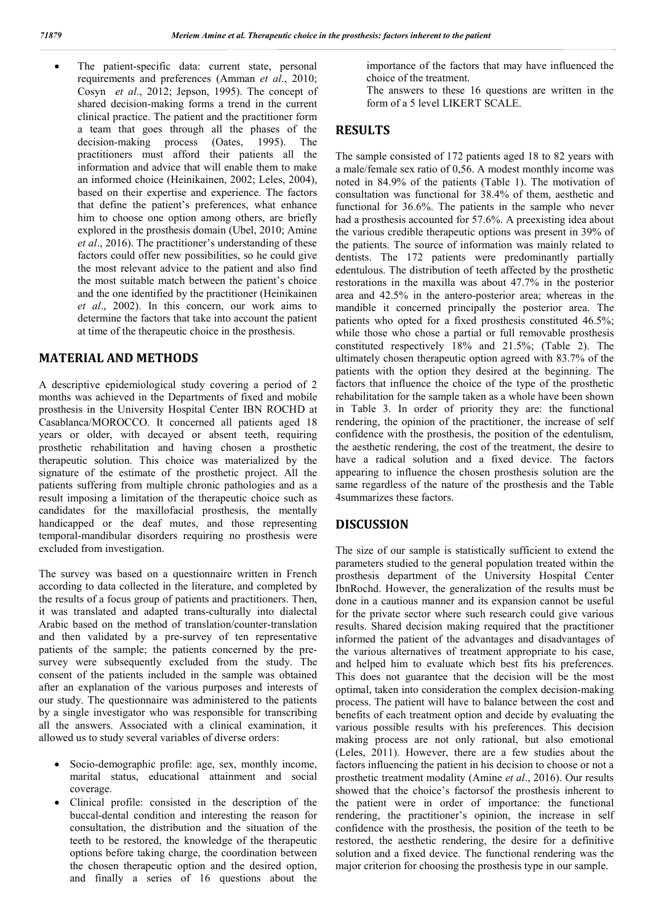The patient-specific data: current state, personal requirements and preferences (Amman *et al*., 2010; Cosyn *et al*., 2012; Jepson, 1995). The concept of shared decision-making forms a trend in the current clinical practice. The patient and the practitioner form a team that goes through all the phases of the decision-making process (Oates, 1995). The practitioners must afford their patients all the information and advice that will enable them to make an informed choice (Heinikainen, 2002; Leles, 2004), based on their expertise and experience. The factors that define the patient's preferences, what enhance him to choose one option among others, are briefly explored in the prosthesis domain (Ubel, 2010; Amine *et al*., 2016). The practitioner's understanding of these factors could offer new possibilities, so he could give the most relevant advice to the patient and also find the most suitable match between the patient's choice and the one identified by the practitioner (Heinikainen *et al*., 2002). In this concern, our work aims to determine the factors that take into account the patient at time of the therapeutic choice in the prosthesis.

### **MATERIAL AND METHODS**

A descriptive epidemiological study covering a period of 2 months was achieved in the Departments of fixed and mobile prosthesis in the University Hospital Center IBN ROCHD at Casablanca/MOROCCO. It concerned all patients aged 18 years or older, with decayed or absent teeth, requiring prosthetic rehabilitation and having chosen a prosthetic therapeutic solution. This choice was materialized by the signature of the estimate of the prosthetic project. All the patients suffering from multiple chronic pathologies and as a result imposing a limitation of the therapeutic choice such as candidates for the maxillofacial prosthesis, the mentally handicapped or the deaf mutes, and those representing temporal-mandibular disorders requiring no prosthesis were excluded from investigation.

The survey was based on a questionnaire written in French according to data collected in the literature, and completed by the results of a focus group of patients and practitioners. Then, it was translated and adapted trans-culturally into dialectal Arabic based on the method of translation/counter-translation and then validated by a pre-survey of ten representative patients of the sample; the patients concerned by the presurvey were subsequently excluded from the study. The consent of the patients included in the sample was obtained after an explanation of the various purposes and interests of our study. The questionnaire was administered to the patients by a single investigator who was responsible for transcribing all the answers. Associated with a clinical examination, it allowed us to study several variables of diverse orders:

- Socio-demographic profile: age, sex, monthly income, marital status, educational attainment and social coverage.
- Clinical profile: consisted in the description of the buccal-dental condition and interesting the reason for consultation, the distribution and the situation of the teeth to be restored, the knowledge of the therapeutic options before taking charge, the coordination between the chosen therapeutic option and the desired option, and finally a series of 16 questions about the

importance of the factors that may have influenced the choice of the treatment.

The answers to these 16 questions are written in the form of a 5 level LIKERT SCALE.

#### **RESULTS**

The sample consisted of 172 patients aged 18 to 82 years with a male/female sex ratio of 0,56. A modest monthly income was noted in 84.9% of the patients (Table 1). The motivation of consultation was functional for 38.4% of them, aesthetic and functional for 36.6%. The patients in the sample who never had a prosthesis accounted for 57.6%. A preexisting idea about the various credible therapeutic options was present in 39% of the patients. The source of information was mainly related to dentists. The 172 patients were predominantly partially edentulous. The distribution of teeth affected by the prosthetic restorations in the maxilla was about 47.7% in the posterior area and 42.5% in the antero-posterior area; whereas in the mandible it concerned principally the posterior area. The patients who opted for a fixed prosthesis constituted 46.5%; while those who chose a partial or full removable prosthesis constituted respectively 18% and 21.5%; (Table 2). The ultimately chosen therapeutic option agreed with 83.7% of the patients with the option they desired at the beginning. The factors that influence the choice of the type of the prosthetic rehabilitation for the sample taken as a whole have been shown in Table 3. In order of priority they are: the functional rendering, the opinion of the practitioner, the increase of self confidence with the prosthesis, the position of the edentulism, the aesthetic rendering, the cost of the treatment, the desire to have a radical solution and a fixed device. The factors appearing to influence the chosen prosthesis solution are the same regardless of the nature of the prosthesis and the Table 4summarizes these factors.

#### **DISCUSSION**

The size of our sample is statistically sufficient to extend the parameters studied to the general population treated within the prosthesis department of the University Hospital Center IbnRochd. However, the generalization of the results must be done in a cautious manner and its expansion cannot be useful for the private sector where such research could give various results. Shared decision making required that the practitioner informed the patient of the advantages and disadvantages of the various alternatives of treatment appropriate to his case, and helped him to evaluate which best fits his preferences. This does not guarantee that the decision will be the most optimal, taken into consideration the complex decision-making process. The patient will have to balance between the cost and benefits of each treatment option and decide by evaluating the various possible results with his preferences. This decision making process are not only rational, but also emotional (Leles, 2011). However, there are a few studies about the factors influencing the patient in his decision to choose or not a prosthetic treatment modality (Amine *et al*., 2016). Our results showed that the choice's factorsof the prosthesis inherent to the patient were in order of importance: the functional rendering, the practitioner's opinion, the increase in self confidence with the prosthesis, the position of the teeth to be restored, the aesthetic rendering, the desire for a definitive solution and a fixed device. The functional rendering was the major criterion for choosing the prosthesis type in our sample.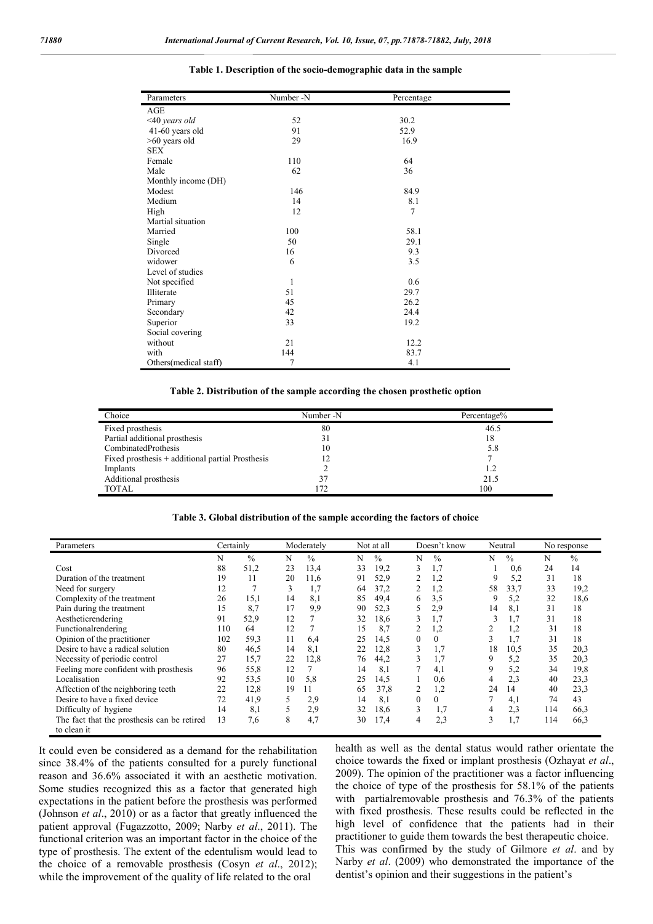| Parameters            | Number -N    | Percentage |  |  |
|-----------------------|--------------|------------|--|--|
| AGE                   |              |            |  |  |
| $<$ 40 years old      | 52           | 30.2       |  |  |
| 41-60 years old       | 91           | 52.9       |  |  |
| >60 years old         | 29           | 16.9       |  |  |
| <b>SEX</b>            |              |            |  |  |
| Female                | 110          | 64         |  |  |
| Male                  | 62           | 36         |  |  |
| Monthly income (DH)   |              |            |  |  |
| Modest                | 146          | 84.9       |  |  |
| Medium                | 14           | 8.1        |  |  |
| High                  | 12           | 7          |  |  |
| Martial situation     |              |            |  |  |
| Married               | 100          | 58.1       |  |  |
| Single                | 50           | 29.1       |  |  |
| Divorced              | 16           | 9.3        |  |  |
| widower               | 6            | 3.5        |  |  |
| Level of studies      |              |            |  |  |
| Not specified         | $\mathbf{1}$ | 0.6        |  |  |
| Illiterate            | 51           | 29.7       |  |  |
| Primary               | 45           | 26.2       |  |  |
| Secondary             | 42           | 24.4       |  |  |
| Superior              | 33           | 19.2       |  |  |
| Social covering       |              |            |  |  |
| without               | 21           | 12.2       |  |  |
| with                  | 144          | 83.7       |  |  |
| Others(medical staff) | 7            | 4.1        |  |  |

#### **Table 1. Description of the socio-demographic data in the sample**

**Table 2. Distribution of the sample according the chosen prosthetic option**

| Choice                                           | Number -N | Percentage% |
|--------------------------------------------------|-----------|-------------|
| Fixed prosthesis                                 | 80        | 46.5        |
| Partial additional prosthesis                    |           | 18          |
| CombinatedProthesis                              | 10        | 5.8         |
| Fixed prosthesis + additional partial Prosthesis |           |             |
| Implants                                         |           | 1.2         |
| Additional prosthesis                            |           | 21.5        |
| <b>TOTAL</b>                                     |           | 100         |

#### **Table 3. Global distribution of the sample according the factors of choice**

| Parameters                                                 | Certainly |               |    | Moderately    |    | Not at all |                  | Doesn't know |                     | Neutral |     | No response |
|------------------------------------------------------------|-----------|---------------|----|---------------|----|------------|------------------|--------------|---------------------|---------|-----|-------------|
|                                                            | N         | $\frac{0}{0}$ | N  | $\frac{0}{0}$ | N  | $\%$       | N                | $\%$         | N                   | $\%$    | N   | $\%$        |
| Cost                                                       | 88        | 51,2          | 23 | 13,4          | 33 | 19,2       | 3                | 1,7          |                     | 0.6     | 24  | 14          |
| Duration of the treatment                                  | 19        | 11            | 20 | 11.6          | 91 | 52,9       |                  | 1,2          | 9                   | 5.2     | 31  | 18          |
| Need for surgery                                           | 12        |               | 3  | 1,7           | 64 | 37,2       |                  | 1,2          | 58                  | 33,7    | 33  | 19,2        |
| Complexity of the treatment                                | 26        | 15,1          | 14 | 8,1           | 85 | 49,4       | 6                | 3,5          | 9                   | 5,2     | 32  | 18,6        |
| Pain during the treatment                                  | 15        | 8,7           | 17 | 9,9           | 90 | 52,3       |                  | 2.9          | 14                  | 8.1     | 31  | 18          |
| Aestheticrendering                                         | 91        | 52,9          | 12 |               | 32 | 18,6       | 3                | 1,7          | 3                   | 1,7     | 31  | 18          |
| Functionalrendering                                        | 110       | 64            | 12 |               | 15 | 8,7        | 2                | 1,2          | 2                   | 1,2     | 31  | 18          |
| Opinion of the practitioner                                | 102       | 59.3          | 11 | 6,4           | 25 | 14,5       | $\theta$         | $\theta$     | 3                   | 1.7     | 31  | 18          |
| Desire to have a radical solution                          | 80        | 46,5          | 14 | 8,1           | 22 | 12.8       | 3                | 1.7          | 18                  | 10.5    | 35  | 20,3        |
| Necessity of periodic control                              | 27        | 15,7          | 22 | 12,8          | 76 | 44,2       | 3                | 1.7          | 9                   | 5,2     | 35  | 20,3        |
| Feeling more confident with prosthesis                     | 96        | 55,8          | 12 |               | 14 | 8.1        |                  | 4,1          | 9                   | 5,2     | 34  | 19,8        |
| Localisation                                               | 92        | 53,5          | 10 | 5,8           | 25 | 14,5       |                  | 0.6          | 4                   | 2.3     | 40  | 23,3        |
| Affection of the neighboring teeth                         | 22        | 12,8          | 19 | 11            | 65 | 37,8       | 2                | 1,2          | 24                  | 14      | 40  | 23,3        |
| Desire to have a fixed device                              | 72        | 41,9          | 5  | 2,9           | 14 | 8,1        | $\boldsymbol{0}$ | $\Omega$     |                     | 4,1     | 74  | 43          |
| Difficulty of hygiene                                      | 14        | 8,1           | 5  | 2,9           | 32 | 18,6       | 3                | 1,7          | 4                   | 2.3     | 114 | 66,3        |
| The fact that the prosthesis can be retired<br>to clean it | 13        | 7,6           | 8  | 4,7           | 30 | 17.4       | 4                | 2,3          | $\rightarrow$<br>3. | 1,7     | 114 | 66,3        |

It could even be considered as a demand for the rehabilitation since 38.4% of the patients consulted for a purely functional reason and 36.6% associated it with an aesthetic motivation. Some studies recognized this as a factor that generated high expectations in the patient before the prosthesis was performed (Johnson *et al*., 2010) or as a factor that greatly influenced the patient approval (Fugazzotto, 2009; Narby *et al*., 2011). The functional criterion was an important factor in the choice of the type of prosthesis. The extent of the edentulism would lead to the choice of a removable prosthesis (Cosyn *et al*., 2012); while the improvement of the quality of life related to the oral

health as well as the dental status would rather orientate the choice towards the fixed or implant prosthesis (Ozhayat *et al*., 2009). The opinion of the practitioner was a factor influencing the choice of type of the prosthesis for 58.1% of the patients with partialremovable prosthesis and 76.3% of the patients with fixed prosthesis. These results could be reflected in the high level of confidence that the patients had in their practitioner to guide them towards the best therapeutic choice. This was confirmed by the study of Gilmore *et al*. and by Narby *et al*. (2009) who demonstrated the importance of the dentist's opinion and their suggestions in the patient's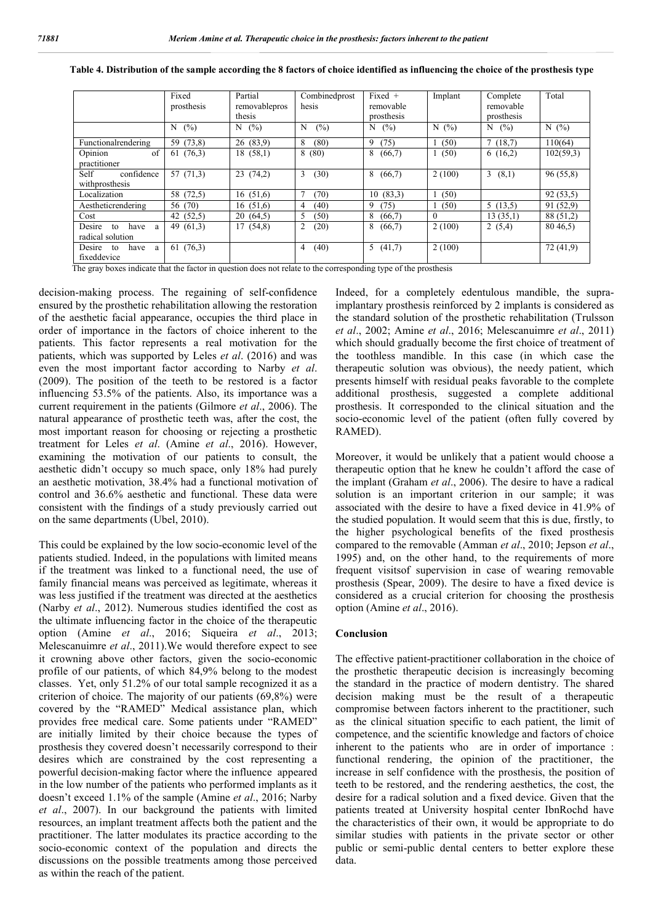|                                                                                                                                                             | Fixed<br>prosthesis | Partial<br>removablepros<br>thesis | Combinedprost<br>hesis | Fixed $+$<br>removable<br>prosthesis | Implant  | Complete<br>removable<br>prosthesis | Total     |
|-------------------------------------------------------------------------------------------------------------------------------------------------------------|---------------------|------------------------------------|------------------------|--------------------------------------|----------|-------------------------------------|-----------|
|                                                                                                                                                             | (% )<br>N           | $N$ (%)                            | $(\%)$<br>N            | (%)<br>N                             | N(%)     | N<br>(%)                            | N(%)      |
| Functionalrendering                                                                                                                                         | 59 (73,8)           | 26(83.9)                           | 8<br>(80)              | (75)<br>9                            | (50)     | 7(18,7)                             | 110(64)   |
| Opinion<br>of<br>practitioner                                                                                                                               | 61(76,3)            | 18(58,1)                           | 8(80)                  | (66,7)<br>8                          | (50)     | 6(16,2)                             | 102(59,3) |
| Self<br>confidence<br>withprosthesis                                                                                                                        | 57(71,3)            | 23(74,2)                           | (30)<br>3              | 8<br>(66,7)                          | 2(100)   | 3(8,1)                              | 96(55,8)  |
| Localization                                                                                                                                                | 58 (72,5)           | 16(51,6)                           | (70)                   | 10(83,3)                             | (50)     |                                     | 92(53,5)  |
| Aestheticrendering                                                                                                                                          | 56 (70)             | 16(51,6)                           | (40)<br>4              | (75)<br>9                            | (50)     | 5(13,5)                             | 91 (52,9) |
| Cost                                                                                                                                                        | 42 (52,5)           | 20(64,5)                           | 5<br>(50)              | 8<br>(66,7)                          | $\Omega$ | 13(35,1)                            | 88 (51,2) |
| Desire<br>have a<br>to<br>radical solution                                                                                                                  | 49 $(61,3)$         | 17(54,8)                           | $\overline{c}$<br>(20) | 8<br>(66,7)                          | 2(100)   | 2(5,4)                              | 8046,5    |
| Desire<br>to<br>have<br>a<br>fixeddevice<br>The groy hoves indicate that the factor in question does not relate to the corresponding type of the prosthesis | 61(76,3)            |                                    | (40)<br>4              | (41,7)<br>5                          | 2(100)   |                                     | 72(41,9)  |

**Table 4. Distribution of the sample according the 8 factors of choice identified as influencing the choice of the prosthesis type**

The gray boxes indicate that the factor in question does not relate to the corresponding type of the prosthesis

decision-making process. The regaining of self-confidence ensured by the prosthetic rehabilitation allowing the restoration of the aesthetic facial appearance, occupies the third place in order of importance in the factors of choice inherent to the patients. This factor represents a real motivation for the patients, which was supported by Leles *et al*. (2016) and was even the most important factor according to Narby *et al*. (2009). The position of the teeth to be restored is a factor influencing 53.5% of the patients. Also, its importance was a current requirement in the patients (Gilmore *et al*., 2006). The natural appearance of prosthetic teeth was, after the cost, the most important reason for choosing or rejecting a prosthetic treatment for Leles *et al*. (Amine *et al*., 2016). However, examining the motivation of our patients to consult, the aesthetic didn't occupy so much space, only 18% had purely an aesthetic motivation, 38.4% had a functional motivation of control and 36.6% aesthetic and functional. These data were consistent with the findings of a study previously carried out on the same departments (Ubel, 2010).

This could be explained by the low socio-economic level of the patients studied. Indeed, in the populations with limited means if the treatment was linked to a functional need, the use of family financial means was perceived as legitimate, whereas it was less justified if the treatment was directed at the aesthetics (Narby *et al*., 2012). Numerous studies identified the cost as the ultimate influencing factor in the choice of the therapeutic option (Amine *et al*., 2016; Siqueira *et al*., 2013; Melescanuimre *et al*., 2011).We would therefore expect to see it crowning above other factors, given the socio-economic profile of our patients, of which 84,9% belong to the modest classes. Yet, only 51.2% of our total sample recognized it as a criterion of choice. The majority of our patients (69,8%) were covered by the "RAMED" Medical assistance plan, which provides free medical care. Some patients under "RAMED" are initially limited by their choice because the types of prosthesis they covered doesn't necessarily correspond to their desires which are constrained by the cost representing a powerful decision-making factor where the influence appeared in the low number of the patients who performed implants as it doesn't exceed 1.1% of the sample (Amine *et al*., 2016; Narby *et al*., 2007). In our background the patients with limited resources, an implant treatment affects both the patient and the practitioner. The latter modulates its practice according to the socio-economic context of the population and directs the discussions on the possible treatments among those perceived as within the reach of the patient.

Indeed, for a completely edentulous mandible, the supraimplantary prosthesis reinforced by 2 implants is considered as the standard solution of the prosthetic rehabilitation (Trulsson *et al*., 2002; Amine *et al*., 2016; Melescanuimre *et al*., 2011) which should gradually become the first choice of treatment of the toothless mandible. In this case (in which case the therapeutic solution was obvious), the needy patient, which presents himself with residual peaks favorable to the complete additional prosthesis, suggested a complete additional prosthesis. It corresponded to the clinical situation and the socio-economic level of the patient (often fully covered by RAMED).

Moreover, it would be unlikely that a patient would choose a therapeutic option that he knew he couldn't afford the case of the implant (Graham *et al*., 2006). The desire to have a radical solution is an important criterion in our sample; it was associated with the desire to have a fixed device in 41.9% of the studied population. It would seem that this is due, firstly, to the higher psychological benefits of the fixed prosthesis compared to the removable (Amman *et al*., 2010; Jepson *et al*., 1995) and, on the other hand, to the requirements of more frequent visitsof supervision in case of wearing removable prosthesis (Spear, 2009). The desire to have a fixed device is considered as a crucial criterion for choosing the prosthesis option (Amine *et al*., 2016).

#### **Conclusion**

The effective patient-practitioner collaboration in the choice of the prosthetic therapeutic decision is increasingly becoming the standard in the practice of modern dentistry. The shared decision making must be the result of a therapeutic compromise between factors inherent to the practitioner, such as the clinical situation specific to each patient, the limit of competence, and the scientific knowledge and factors of choice inherent to the patients who are in order of importance : functional rendering, the opinion of the practitioner, the increase in self confidence with the prosthesis, the position of teeth to be restored, and the rendering aesthetics, the cost, the desire for a radical solution and a fixed device. Given that the patients treated at University hospital center IbnRochd have the characteristics of their own, it would be appropriate to do similar studies with patients in the private sector or other public or semi-public dental centers to better explore these data.